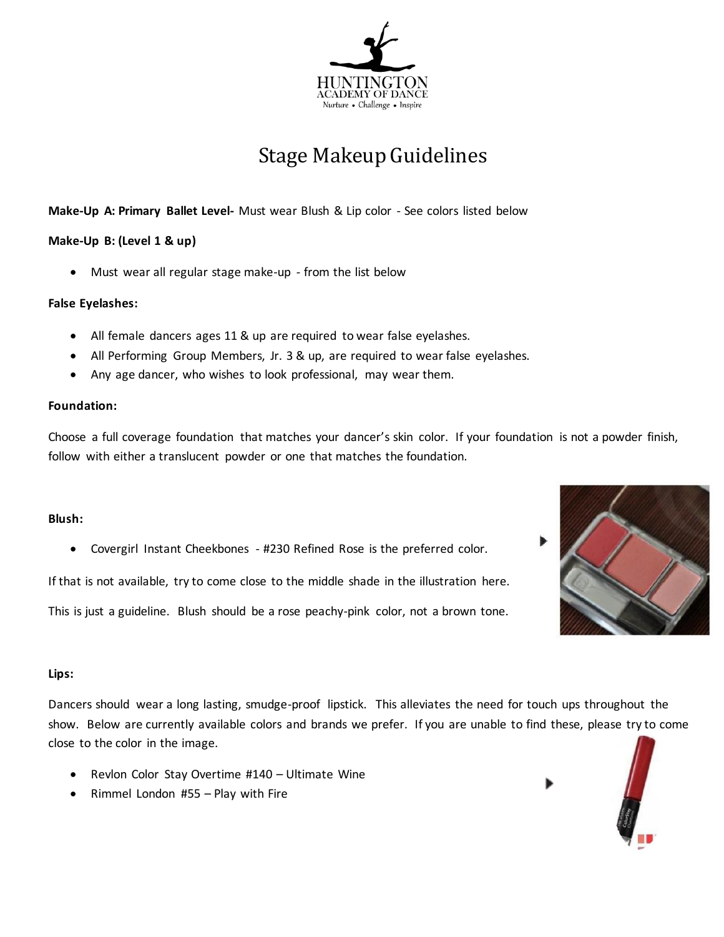

# Stage Makeup Guidelines

### **Make-Up A: Primary Ballet Level-** Must wear Blush & Lip color - See colors listed below

### **Make-Up B: (Level 1 & up)**

Must wear all regular stage make-up - from the list below

#### **False Eyelashes:**

- All female dancers ages 11 & up are required to wear false eyelashes.
- All Performing Group Members, Jr. 3 & up, are required to wear false eyelashes.
- Any age dancer, who wishes to look professional, may wear them.

#### **Foundation:**

Choose a full coverage foundation that matches your dancer's skin color. If your foundation is not a powder finish, follow with either a translucent powder or one that matches the foundation.

#### **Blush:**

Covergirl Instant Cheekbones - #230 Refined Rose is the preferred color.

If that is not available, try to come close to the middle shade in the illustration here.

This is just a guideline. Blush should be a rose peachy-pink color, not a brown tone.

#### **Lips:**

Dancers should wear a long lasting, smudge-proof lipstick. This alleviates the need for touch ups throughout the show. Below are currently available colors and brands we prefer. If you are unable to find these, please try to come close to the color in the image.

- Revlon Color Stay Overtime #140 Ultimate Wine
- Rimmel London  $#55 -$ Play with Fire